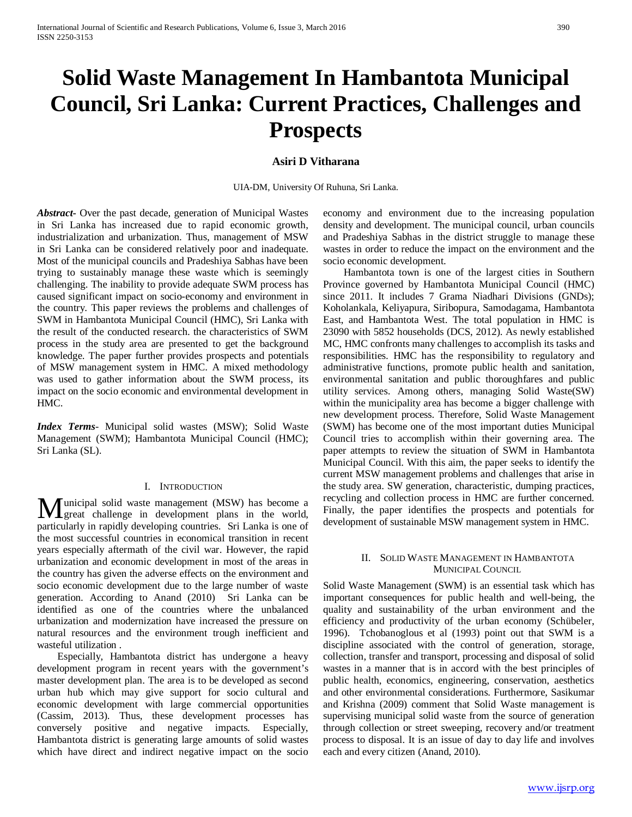# **Solid Waste Management In Hambantota Municipal Council, Sri Lanka: Current Practices, Challenges and Prospects**

# **Asiri D Vitharana**

UIA-DM, University Of Ruhuna, Sri Lanka.

*Abstract***-** Over the past decade, generation of Municipal Wastes in Sri Lanka has increased due to rapid economic growth, industrialization and urbanization. Thus, management of MSW in Sri Lanka can be considered relatively poor and inadequate. Most of the municipal councils and Pradeshiya Sabhas have been trying to sustainably manage these waste which is seemingly challenging. The inability to provide adequate SWM process has caused significant impact on socio-economy and environment in the country. This paper reviews the problems and challenges of SWM in Hambantota Municipal Council (HMC), Sri Lanka with the result of the conducted research. the characteristics of SWM process in the study area are presented to get the background knowledge. The paper further provides prospects and potentials of MSW management system in HMC. A mixed methodology was used to gather information about the SWM process, its impact on the socio economic and environmental development in HMC.

*Index Terms*- Municipal solid wastes (MSW); Solid Waste Management (SWM); Hambantota Municipal Council (HMC); Sri Lanka (SL).

#### I. INTRODUCTION

unicipal solid waste management (MSW) has become a Municipal solid waste management (MSW) has become a great challenge in development plans in the world, particularly in rapidly developing countries. Sri Lanka is one of the most successful countries in economical transition in recent years especially aftermath of the civil war. However, the rapid urbanization and economic development in most of the areas in the country has given the adverse effects on the environment and socio economic development due to the large number of waste generation. According to Anand (2010) Sri Lanka can be identified as one of the countries where the unbalanced urbanization and modernization have increased the pressure on natural resources and the environment trough inefficient and wasteful utilization .

 Especially, Hambantota district has undergone a heavy development program in recent years with the government's master development plan. The area is to be developed as second urban hub which may give support for socio cultural and economic development with large commercial opportunities (Cassim, 2013). Thus, these development processes has conversely positive and negative impacts. Especially, Hambantota district is generating large amounts of solid wastes which have direct and indirect negative impact on the socio

economy and environment due to the increasing population density and development. The municipal council, urban councils and Pradeshiya Sabhas in the district struggle to manage these wastes in order to reduce the impact on the environment and the socio economic development.

 Hambantota town is one of the largest cities in Southern Province governed by Hambantota Municipal Council (HMC) since 2011. It includes 7 Grama Niadhari Divisions (GNDs); Koholankala, Keliyapura, Siribopura, Samodagama, Hambantota East, and Hambantota West. The total population in HMC is 23090 with 5852 households (DCS, 2012). As newly established MC, HMC confronts many challenges to accomplish its tasks and responsibilities. HMC has the responsibility to regulatory and administrative functions, promote public health and sanitation, environmental sanitation and public thoroughfares and public utility services. Among others, managing Solid Waste(SW) within the municipality area has become a bigger challenge with new development process. Therefore, Solid Waste Management (SWM) has become one of the most important duties Municipal Council tries to accomplish within their governing area. The paper attempts to review the situation of SWM in Hambantota Municipal Council. With this aim, the paper seeks to identify the current MSW management problems and challenges that arise in the study area. SW generation, characteristic, dumping practices, recycling and collection process in HMC are further concerned. Finally, the paper identifies the prospects and potentials for development of sustainable MSW management system in HMC.

#### II. SOLID WASTE MANAGEMENT IN HAMBANTOTA MUNICIPAL COUNCIL

Solid Waste Management (SWM) is an essential task which has important consequences for public health and well-being, the quality and sustainability of the urban environment and the efficiency and productivity of the urban economy (Schübeler, 1996). Tchobanoglous et al (1993) point out that SWM is a discipline associated with the control of generation, storage, collection, transfer and transport, processing and disposal of solid wastes in a manner that is in accord with the best principles of public health, economics, engineering, conservation, aesthetics and other environmental considerations. Furthermore, Sasikumar and Krishna (2009) comment that Solid Waste management is supervising municipal solid waste from the source of generation through collection or street sweeping, recovery and/or treatment process to disposal. It is an issue of day to day life and involves each and every citizen (Anand, 2010).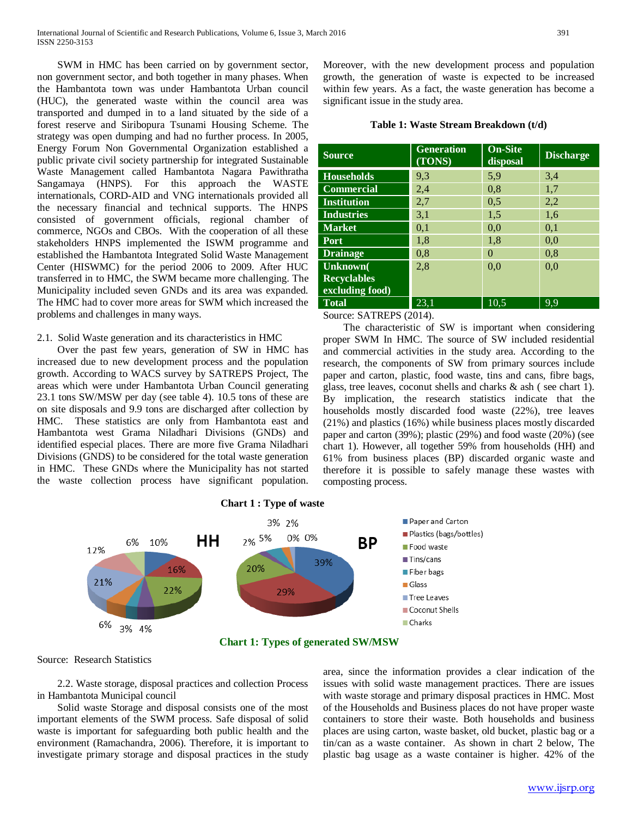SWM in HMC has been carried on by government sector, non government sector, and both together in many phases. When the Hambantota town was under Hambantota Urban council (HUC), the generated waste within the council area was transported and dumped in to a land situated by the side of a forest reserve and Siribopura Tsunami Housing Scheme. The strategy was open dumping and had no further process. In 2005, Energy Forum Non Governmental Organization established a public private civil society partnership for integrated Sustainable Waste Management called Hambantota Nagara Pawithratha Sangamaya (HNPS). For this approach the WASTE internationals, CORD-AID and VNG internationals provided all the necessary financial and technical supports. The HNPS consisted of government officials, regional chamber of commerce, NGOs and CBOs. With the cooperation of all these stakeholders HNPS implemented the ISWM programme and established the Hambantota Integrated Solid Waste Management Center (HISWMC) for the period 2006 to 2009. After HUC transferred in to HMC, the SWM became more challenging. The Municipality included seven GNDs and its area was expanded. The HMC had to cover more areas for SWM which increased the problems and challenges in many ways.

#### 2.1. Solid Waste generation and its characteristics in HMC

 Over the past few years, generation of SW in HMC has increased due to new development process and the population growth. According to WACS survey by SATREPS Project, The areas which were under Hambantota Urban Council generating 23.1 tons SW/MSW per day (see table 4). 10.5 tons of these are on site disposals and 9.9 tons are discharged after collection by HMC. These statistics are only from Hambantota east and Hambantota west Grama Niladhari Divisions (GNDs) and identified especial places. There are more five Grama Niladhari Divisions (GNDS) to be considered for the total waste generation in HMC. These GNDs where the Municipality has not started the waste collection process have significant population.

Moreover, with the new development process and population growth, the generation of waste is expected to be increased within few years. As a fact, the waste generation has become a significant issue in the study area.

# **Table 1: Waste Stream Breakdown (t/d)**

| <b>Source</b>      | <b>Generation</b><br>(TONS) | <b>On-Site</b><br>disposal | <b>Discharge</b> |
|--------------------|-----------------------------|----------------------------|------------------|
| <b>Households</b>  | 9,3                         | 5,9                        | 3,4              |
| <b>Commercial</b>  | 2,4                         | 0.8                        | 1,7              |
| <b>Institution</b> | 2,7                         | 0.5                        | 2,2              |
| <b>Industries</b>  | 3,1                         | 1,5                        | 1,6              |
| <b>Market</b>      | 0,1                         | 0,0                        | 0,1              |
| Port               | 1,8                         | 1,8                        | 0,0              |
| <b>Drainage</b>    | 0,8                         | $\Omega$                   | 0,8              |
| Unknown(           | 2,8                         | 0,0                        | 0,0              |
| <b>Recyclables</b> |                             |                            |                  |
| excluding food)    |                             |                            |                  |
| <b>Total</b>       | 23,1                        | 10,5                       | 9.9              |

Source: SATREPS (2014).

 The characteristic of SW is important when considering proper SWM In HMC. The source of SW included residential and commercial activities in the study area. According to the research, the components of SW from primary sources include paper and carton, plastic, food waste, tins and cans, fibre bags, glass, tree leaves, coconut shells and charks & ash ( see chart 1). By implication, the research statistics indicate that the households mostly discarded food waste (22%), tree leaves (21%) and plastics (16%) while business places mostly discarded paper and carton (39%); plastic (29%) and food waste (20%) (see chart 1). However, all together 59% from households (HH) and 61% from business places (BP) discarded organic waste and therefore it is possible to safely manage these wastes with composting process.



#### Source: Research Statistics

 2.2. Waste storage, disposal practices and collection Process in Hambantota Municipal council

 Solid waste Storage and disposal consists one of the most important elements of the SWM process. Safe disposal of solid waste is important for safeguarding both public health and the environment (Ramachandra, 2006). Therefore, it is important to investigate primary storage and disposal practices in the study

area, since the information provides a clear indication of the issues with solid waste management practices. There are issues with waste storage and primary disposal practices in HMC. Most of the Households and Business places do not have proper waste containers to store their waste. Both households and business places are using carton, waste basket, old bucket, plastic bag or a tin/can as a waste container. As shown in chart 2 below, The plastic bag usage as a waste container is higher. 42% of the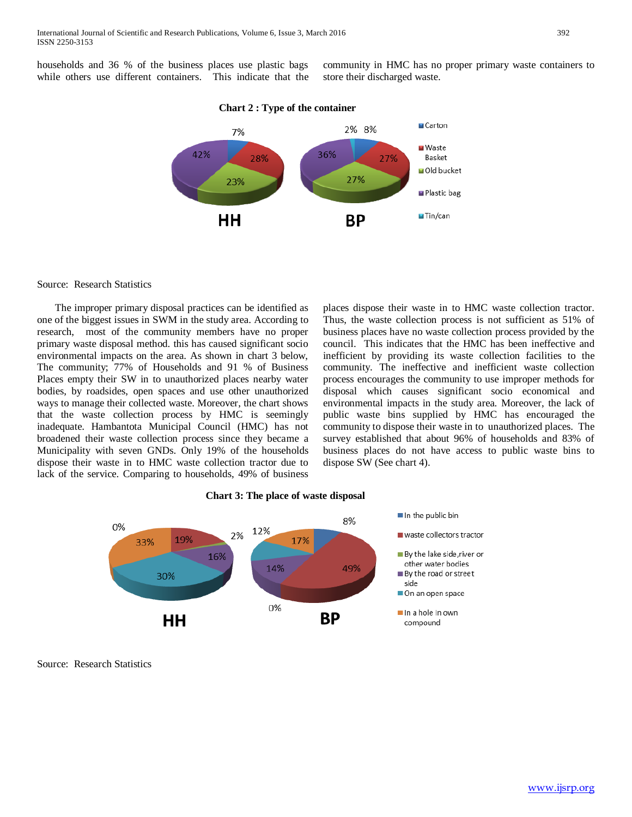households and 36 % of the business places use plastic bags while others use different containers. This indicate that the community in HMC has no proper primary waste containers to store their discharged waste.



## **Chart 2 : Type of the container**

#### Source: Research Statistics

 The improper primary disposal practices can be identified as one of the biggest issues in SWM in the study area. According to research, most of the community members have no proper primary waste disposal method. this has caused significant socio environmental impacts on the area. As shown in chart 3 below, The community; 77% of Households and 91 % of Business Places empty their SW in to unauthorized places nearby water bodies, by roadsides, open spaces and use other unauthorized ways to manage their collected waste. Moreover, the chart shows that the waste collection process by HMC is seemingly inadequate. Hambantota Municipal Council (HMC) has not broadened their waste collection process since they became a Municipality with seven GNDs. Only 19% of the households dispose their waste in to HMC waste collection tractor due to lack of the service. Comparing to households, 49% of business

places dispose their waste in to HMC waste collection tractor. Thus, the waste collection process is not sufficient as 51% of business places have no waste collection process provided by the council. This indicates that the HMC has been ineffective and inefficient by providing its waste collection facilities to the community. The ineffective and inefficient waste collection process encourages the community to use improper methods for disposal which causes significant socio economical and environmental impacts in the study area. Moreover, the lack of public waste bins supplied by HMC has encouraged the community to dispose their waste in to unauthorized places. The survey established that about 96% of households and 83% of business places do not have access to public waste bins to dispose SW (See chart 4).





Source: Research Statistics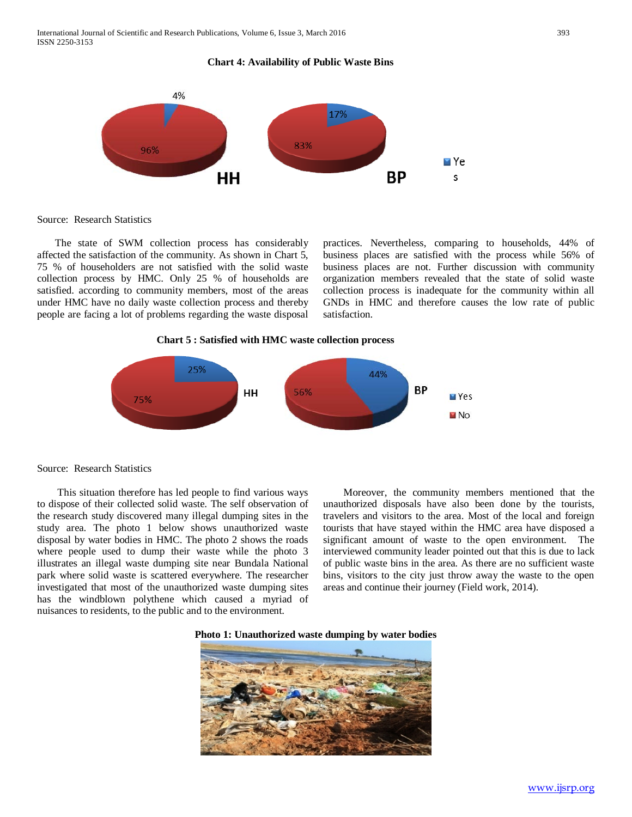**Chart 4: Availability of Public Waste Bins**



Source: Research Statistics

 The state of SWM collection process has considerably affected the satisfaction of the community. As shown in Chart 5, 75 % of householders are not satisfied with the solid waste collection process by HMC. Only 25 % of households are satisfied. according to community members, most of the areas under HMC have no daily waste collection process and thereby people are facing a lot of problems regarding the waste disposal

practices. Nevertheless, comparing to households, 44% of business places are satisfied with the process while 56% of business places are not. Further discussion with community organization members revealed that the state of solid waste collection process is inadequate for the community within all GNDs in HMC and therefore causes the low rate of public satisfaction.



Source: Research Statistics

 This situation therefore has led people to find various ways to dispose of their collected solid waste. The self observation of the research study discovered many illegal dumping sites in the study area. The photo 1 below shows unauthorized waste disposal by water bodies in HMC. The photo 2 shows the roads where people used to dump their waste while the photo 3 illustrates an illegal waste dumping site near Bundala National park where solid waste is scattered everywhere. The researcher investigated that most of the unauthorized waste dumping sites has the windblown polythene which caused a myriad of nuisances to residents, to the public and to the environment.

 Moreover, the community members mentioned that the unauthorized disposals have also been done by the tourists, travelers and visitors to the area. Most of the local and foreign tourists that have stayed within the HMC area have disposed a significant amount of waste to the open environment. The interviewed community leader pointed out that this is due to lack of public waste bins in the area. As there are no sufficient waste bins, visitors to the city just throw away the waste to the open areas and continue their journey (Field work, 2014).



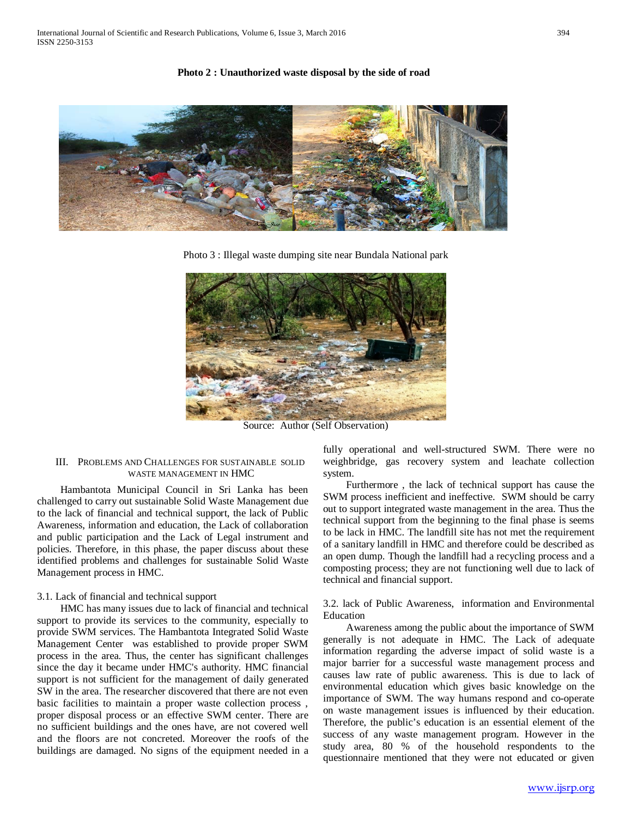#### **Photo 2 : Unauthorized waste disposal by the side of road**



Photo 3 : Illegal waste dumping site near Bundala National park



Source: Author (Self Observation)

# III. PROBLEMS AND CHALLENGES FOR SUSTAINABLE SOLID WASTE MANAGEMENT IN HMC

 Hambantota Municipal Council in Sri Lanka has been challenged to carry out sustainable Solid Waste Management due to the lack of financial and technical support, the lack of Public Awareness, information and education, the Lack of collaboration and public participation and the Lack of Legal instrument and policies. Therefore, in this phase, the paper discuss about these identified problems and challenges for sustainable Solid Waste Management process in HMC.

## 3.1. Lack of financial and technical support

 HMC has many issues due to lack of financial and technical support to provide its services to the community, especially to provide SWM services. The Hambantota Integrated Solid Waste Management Center was established to provide proper SWM process in the area. Thus, the center has significant challenges since the day it became under HMC's authority. HMC financial support is not sufficient for the management of daily generated SW in the area. The researcher discovered that there are not even basic facilities to maintain a proper waste collection process , proper disposal process or an effective SWM center. There are no sufficient buildings and the ones have, are not covered well and the floors are not concreted. Moreover the roofs of the buildings are damaged. No signs of the equipment needed in a fully operational and well-structured SWM. There were no weighbridge, gas recovery system and leachate collection system.

 Furthermore , the lack of technical support has cause the SWM process inefficient and ineffective. SWM should be carry out to support integrated waste management in the area. Thus the technical support from the beginning to the final phase is seems to be lack in HMC. The landfill site has not met the requirement of a sanitary landfill in HMC and therefore could be described as an open dump. Though the landfill had a recycling process and a composting process; they are not functioning well due to lack of technical and financial support.

## 3.2. lack of Public Awareness, information and Environmental Education

 Awareness among the public about the importance of SWM generally is not adequate in HMC. The Lack of adequate information regarding the adverse impact of solid waste is a major barrier for a successful waste management process and causes law rate of public awareness. This is due to lack of environmental education which gives basic knowledge on the importance of SWM. The way humans respond and co-operate on waste management issues is influenced by their education. Therefore, the public's education is an essential element of the success of any waste management program. However in the study area, 80 % of the household respondents to the questionnaire mentioned that they were not educated or given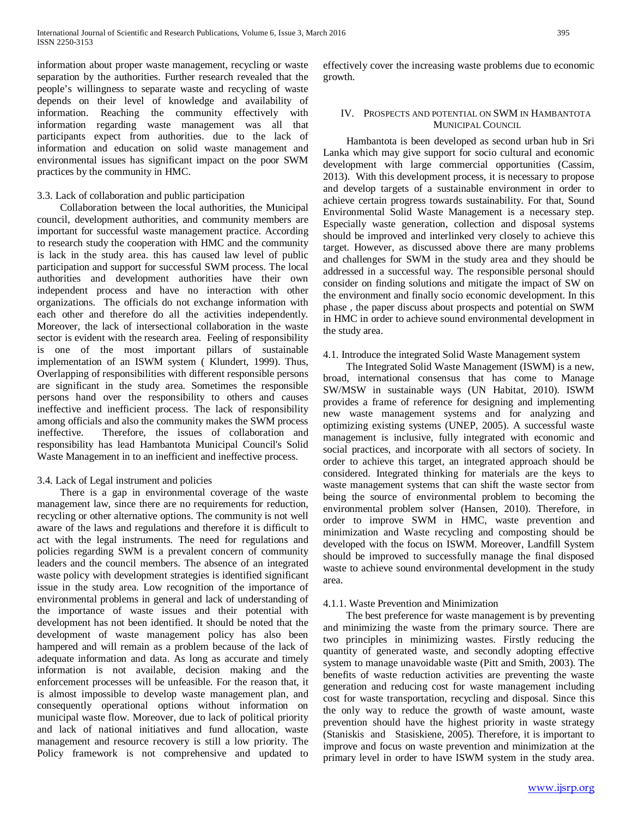information about proper waste management, recycling or waste separation by the authorities. Further research revealed that the people's willingness to separate waste and recycling of waste depends on their level of knowledge and availability of information. Reaching the community effectively with information regarding waste management was all that participants expect from authorities. due to the lack of information and education on solid waste management and environmental issues has significant impact on the poor SWM practices by the community in HMC.

#### 3.3. Lack of collaboration and public participation

 Collaboration between the local authorities, the Municipal council, development authorities, and community members are important for successful waste management practice. According to research study the cooperation with HMC and the community is lack in the study area. this has caused law level of public participation and support for successful SWM process. The local authorities and development authorities have their own independent process and have no interaction with other organizations. The officials do not exchange information with each other and therefore do all the activities independently. Moreover, the lack of intersectional collaboration in the waste sector is evident with the research area. Feeling of responsibility is one of the most important pillars of sustainable implementation of an ISWM system ( Klundert, 1999). Thus, Overlapping of responsibilities with different responsible persons are significant in the study area. Sometimes the responsible persons hand over the responsibility to others and causes ineffective and inefficient process. The lack of responsibility among officials and also the community makes the SWM process ineffective. Therefore, the issues of collaboration and responsibility has lead Hambantota Municipal Council's Solid Waste Management in to an inefficient and ineffective process.

## 3.4. Lack of Legal instrument and policies

 There is a gap in environmental coverage of the waste management law, since there are no requirements for reduction, recycling or other alternative options. The community is not well aware of the laws and regulations and therefore it is difficult to act with the legal instruments. The need for regulations and policies regarding SWM is a prevalent concern of community leaders and the council members. The absence of an integrated waste policy with development strategies is identified significant issue in the study area. Low recognition of the importance of environmental problems in general and lack of understanding of the importance of waste issues and their potential with development has not been identified. It should be noted that the development of waste management policy has also been hampered and will remain as a problem because of the lack of adequate information and data. As long as accurate and timely information is not available, decision making and the enforcement processes will be unfeasible. For the reason that, it is almost impossible to develop waste management plan, and consequently operational options without information on municipal waste flow. Moreover, due to lack of political priority and lack of national initiatives and fund allocation, waste management and resource recovery is still a low priority. The Policy framework is not comprehensive and updated to effectively cover the increasing waste problems due to economic growth.

#### IV. PROSPECTS AND POTENTIAL ON SWM IN HAMBANTOTA MUNICIPAL COUNCIL

 Hambantota is been developed as second urban hub in Sri Lanka which may give support for socio cultural and economic development with large commercial opportunities (Cassim, 2013). With this development process, it is necessary to propose and develop targets of a sustainable environment in order to achieve certain progress towards sustainability. For that, Sound Environmental Solid Waste Management is a necessary step. Especially waste generation, collection and disposal systems should be improved and interlinked very closely to achieve this target. However, as discussed above there are many problems and challenges for SWM in the study area and they should be addressed in a successful way. The responsible personal should consider on finding solutions and mitigate the impact of SW on the environment and finally socio economic development. In this phase , the paper discuss about prospects and potential on SWM in HMC in order to achieve sound environmental development in the study area.

4.1. Introduce the integrated Solid Waste Management system

 The Integrated Solid Waste Management (ISWM) is a new, broad, international consensus that has come to Manage SW/MSW in sustainable ways (UN Habitat, 2010). ISWM provides a frame of reference for designing and implementing new waste management systems and for analyzing and optimizing existing systems (UNEP, 2005). A successful waste management is inclusive, fully integrated with economic and social practices, and incorporate with all sectors of society. In order to achieve this target, an integrated approach should be considered. Integrated thinking for materials are the keys to waste management systems that can shift the waste sector from being the source of environmental problem to becoming the environmental problem solver (Hansen, 2010). Therefore, in order to improve SWM in HMC, waste prevention and minimization and Waste recycling and composting should be developed with the focus on ISWM. Moreover, Landfill System should be improved to successfully manage the final disposed waste to achieve sound environmental development in the study area.

## 4.1.1. Waste Prevention and Minimization

 The best preference for waste management is by preventing and minimizing the waste from the primary source. There are two principles in minimizing wastes. Firstly reducing the quantity of generated waste, and secondly adopting effective system to manage unavoidable waste (Pitt and Smith, 2003). The benefits of waste reduction activities are preventing the waste generation and reducing cost for waste management including cost for waste transportation, recycling and disposal. Since this the only way to reduce the growth of waste amount, waste prevention should have the highest priority in waste strategy (Staniskis and Stasiskiene, 2005). Therefore, it is important to improve and focus on waste prevention and minimization at the primary level in order to have ISWM system in the study area.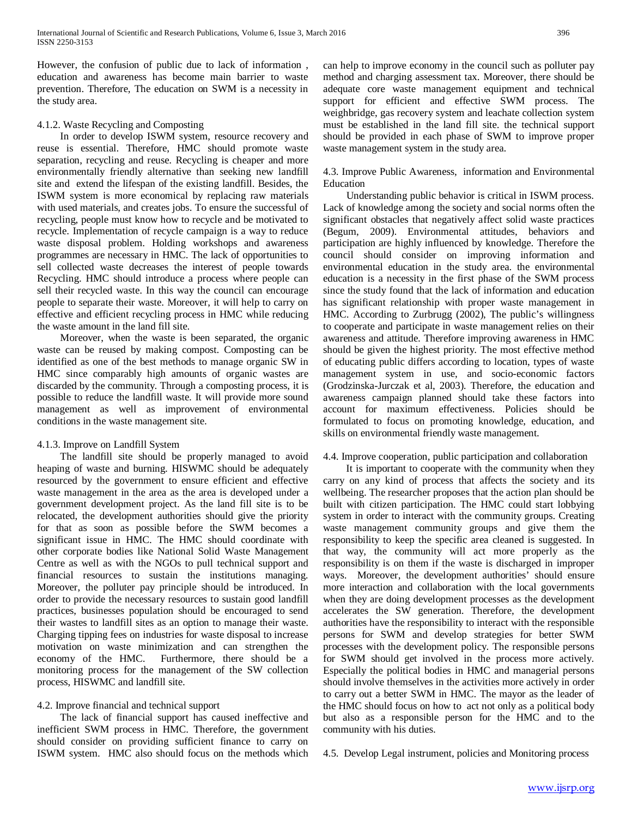However, the confusion of public due to lack of information , education and awareness has become main barrier to waste prevention. Therefore, The education on SWM is a necessity in the study area.

#### 4.1.2. Waste Recycling and Composting

 In order to develop ISWM system, resource recovery and reuse is essential. Therefore, HMC should promote waste separation, recycling and reuse. Recycling is cheaper and more environmentally friendly alternative than seeking new landfill site and extend the lifespan of the existing landfill. Besides, the ISWM system is more economical by replacing raw materials with used materials, and creates jobs. To ensure the successful of recycling, people must know how to recycle and be motivated to recycle. Implementation of recycle campaign is a way to reduce waste disposal problem. Holding workshops and awareness programmes are necessary in HMC. The lack of opportunities to sell collected waste decreases the interest of people towards Recycling. HMC should introduce a process where people can sell their recycled waste. In this way the council can encourage people to separate their waste. Moreover, it will help to carry on effective and efficient recycling process in HMC while reducing the waste amount in the land fill site.

 Moreover, when the waste is been separated, the organic waste can be reused by making compost. Composting can be identified as one of the best methods to manage organic SW in HMC since comparably high amounts of organic wastes are discarded by the community. Through a composting process, it is possible to reduce the landfill waste. It will provide more sound management as well as improvement of environmental conditions in the waste management site.

## 4.1.3. Improve on Landfill System

 The landfill site should be properly managed to avoid heaping of waste and burning. HISWMC should be adequately resourced by the government to ensure efficient and effective waste management in the area as the area is developed under a government development project. As the land fill site is to be relocated, the development authorities should give the priority for that as soon as possible before the SWM becomes a significant issue in HMC. The HMC should coordinate with other corporate bodies like National Solid Waste Management Centre as well as with the NGOs to pull technical support and financial resources to sustain the institutions managing. Moreover, the polluter pay principle should be introduced. In order to provide the necessary resources to sustain good landfill practices, businesses population should be encouraged to send their wastes to landfill sites as an option to manage their waste. Charging tipping fees on industries for waste disposal to increase motivation on waste minimization and can strengthen the economy of the HMC. Furthermore, there should be a Furthermore, there should be a monitoring process for the management of the SW collection process, HISWMC and landfill site.

## 4.2. Improve financial and technical support

 The lack of financial support has caused ineffective and inefficient SWM process in HMC. Therefore, the government should consider on providing sufficient finance to carry on ISWM system. HMC also should focus on the methods which can help to improve economy in the council such as polluter pay method and charging assessment tax. Moreover, there should be adequate core waste management equipment and technical support for efficient and effective SWM process. The weighbridge, gas recovery system and leachate collection system must be established in the land fill site. the technical support should be provided in each phase of SWM to improve proper waste management system in the study area.

4.3. Improve Public Awareness, information and Environmental Education

 Understanding public behavior is critical in ISWM process. Lack of knowledge among the society and social norms often the significant obstacles that negatively affect solid waste practices (Begum, 2009). Environmental attitudes, behaviors and participation are highly influenced by knowledge. Therefore the council should consider on improving information and environmental education in the study area. the environmental education is a necessity in the first phase of the SWM process since the study found that the lack of information and education has significant relationship with proper waste management in HMC. According to Zurbrugg (2002), The public's willingness to cooperate and participate in waste management relies on their awareness and attitude. Therefore improving awareness in HMC should be given the highest priority. The most effective method of educating public differs according to location, types of waste management system in use, and socio-economic factors (Grodzinska-Jurczak et al, 2003). Therefore, the education and awareness campaign planned should take these factors into account for maximum effectiveness. Policies should be formulated to focus on promoting knowledge, education, and skills on environmental friendly waste management.

## 4.4. Improve cooperation, public participation and collaboration

 It is important to cooperate with the community when they carry on any kind of process that affects the society and its wellbeing. The researcher proposes that the action plan should be built with citizen participation. The HMC could start lobbying system in order to interact with the community groups. Creating waste management community groups and give them the responsibility to keep the specific area cleaned is suggested. In that way, the community will act more properly as the responsibility is on them if the waste is discharged in improper ways. Moreover, the development authorities' should ensure more interaction and collaboration with the local governments when they are doing development processes as the development accelerates the SW generation. Therefore, the development authorities have the responsibility to interact with the responsible persons for SWM and develop strategies for better SWM processes with the development policy. The responsible persons for SWM should get involved in the process more actively. Especially the political bodies in HMC and managerial persons should involve themselves in the activities more actively in order to carry out a better SWM in HMC. The mayor as the leader of the HMC should focus on how to act not only as a political body but also as a responsible person for the HMC and to the community with his duties.

4.5. Develop Legal instrument, policies and Monitoring process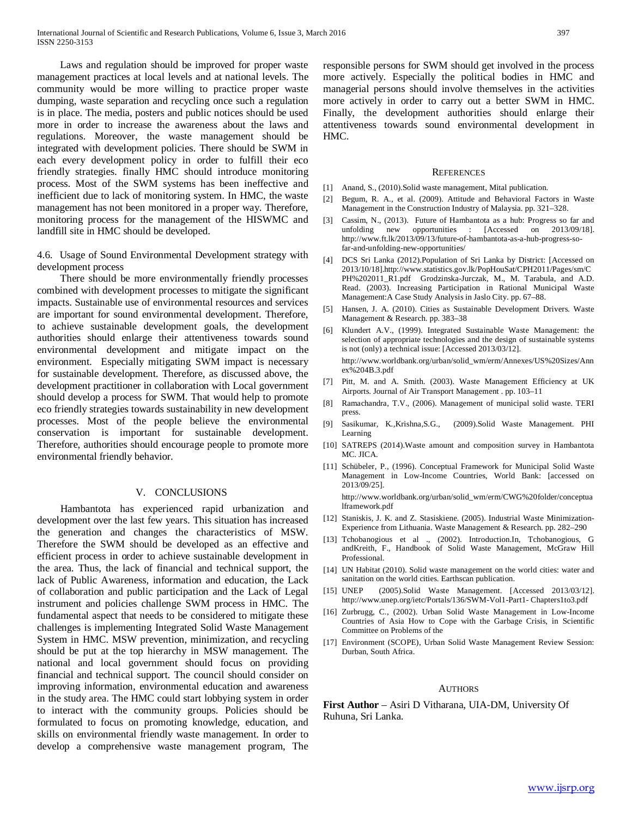Laws and regulation should be improved for proper waste management practices at local levels and at national levels. The community would be more willing to practice proper waste dumping, waste separation and recycling once such a regulation is in place. The media, posters and public notices should be used more in order to increase the awareness about the laws and regulations. Moreover, the waste management should be integrated with development policies. There should be SWM in each every development policy in order to fulfill their eco friendly strategies. finally HMC should introduce monitoring process. Most of the SWM systems has been ineffective and inefficient due to lack of monitoring system. In HMC, the waste management has not been monitored in a proper way. Therefore, monitoring process for the management of the HISWMC and landfill site in HMC should be developed.

4.6. Usage of Sound Environmental Development strategy with development process

 There should be more environmentally friendly processes combined with development processes to mitigate the significant impacts. Sustainable use of environmental resources and services are important for sound environmental development. Therefore, to achieve sustainable development goals, the development authorities should enlarge their attentiveness towards sound environmental development and mitigate impact on the environment. Especially mitigating SWM impact is necessary for sustainable development. Therefore, as discussed above, the development practitioner in collaboration with Local government should develop a process for SWM. That would help to promote eco friendly strategies towards sustainability in new development processes. Most of the people believe the environmental conservation is important for sustainable development. Therefore, authorities should encourage people to promote more environmental friendly behavior.

#### V. CONCLUSIONS

 Hambantota has experienced rapid urbanization and development over the last few years. This situation has increased the generation and changes the characteristics of MSW. Therefore the SWM should be developed as an effective and efficient process in order to achieve sustainable development in the area. Thus, the lack of financial and technical support, the lack of Public Awareness, information and education, the Lack of collaboration and public participation and the Lack of Legal instrument and policies challenge SWM process in HMC. The fundamental aspect that needs to be considered to mitigate these challenges is implementing Integrated Solid Waste Management System in HMC. MSW prevention, minimization, and recycling should be put at the top hierarchy in MSW management. The national and local government should focus on providing financial and technical support. The council should consider on improving information, environmental education and awareness in the study area. The HMC could start lobbying system in order to interact with the community groups. Policies should be formulated to focus on promoting knowledge, education, and skills on environmental friendly waste management. In order to develop a comprehensive waste management program, The responsible persons for SWM should get involved in the process more actively. Especially the political bodies in HMC and managerial persons should involve themselves in the activities more actively in order to carry out a better SWM in HMC. Finally, the development authorities should enlarge their attentiveness towards sound environmental development in HMC.

#### **REFERENCES**

- [1] Anand, S., (2010).Solid waste management, Mital publication.
- [2] Begum, R. A., et al. (2009). Attitude and Behavioral Factors in Waste Management in the Construction Industry of Malaysia. pp. 321–328.
- [3] Cassim, N., (2013). Future of Hambantota as a hub: Progress so far and unfolding new opportunities : [Accessed on 2013/09/18]. http://www.ft.lk/2013/09/13/future-of-hambantota-as-a-hub-progress-sofar-and-unfolding-new-opportunities/
- [4] DCS Sri Lanka (2012).Population of Sri Lanka by District: [Accessed on 2013/10/18].http://www.statistics.gov.lk/PopHouSat/CPH2011/Pages/sm/C PH%202011\_R1.pdf Grodzinska-Jurczak, M., M. Tarabula, and A.D. Read. (2003). Increasing Participation in Rational Municipal Waste Management:A Case Study Analysis in Jaslo City. pp. 67–88.
- [5] Hansen, J. A. (2010). Cities as Sustainable Development Drivers. Waste Management & Research. pp. 383–38
- [6] Klundert A.V., (1999). Integrated Sustainable Waste Management: the selection of appropriate technologies and the design of sustainable systems is not (only) a technical issue: [Accessed 2013/03/12]. http://www.worldbank.org/urban/solid\_wm/erm/Annexes/US%20Sizes/Ann ex%204B.3.pdf
- [7] Pitt, M. and A. Smith. (2003). Waste Management Efficiency at UK Airports. Journal of Air Transport Management . pp. 103–11
- [8] Ramachandra, T.V., (2006). Management of municipal solid waste. TERI press.
- [9] Sasikumar, K.,Krishna,S.G., (2009).Solid Waste Management. PHI Learning
- [10] SATREPS (2014).Waste amount and composition survey in Hambantota MC. JICA.
- [11] Schübeler, P., (1996). Conceptual Framework for Municipal Solid Waste Management in Low-Income Countries, World Bank: [accessed on 2013/09/25].

http://www.worldbank.org/urban/solid\_wm/erm/CWG%20folder/conceptua lframework.pdf

- [12] Staniskis, J. K. and Z. Stasiskiene. (2005). Industrial Waste Minimization-Experience from Lithuania. Waste Management & Research. pp. 282–290
- [13] Tchobanogious et al ., (2002). Introduction.In, Tchobanogious, G andKreith, F., Handbook of Solid Waste Management, McGraw Hill Professional.
- [14] UN Habitat (2010). Solid waste management on the world cities: water and sanitation on the world cities. Earthscan publication.
- [15] UNEP (2005).Solid Waste Management. [Accessed 2013/03/12]. http://www.unep.org/ietc/Portals/136/SWM-Vol1-Part1- Chapters1to3.pdf
- [16] Zurbrugg, C., (2002). Urban Solid Waste Management in Low-Income Countries of Asia How to Cope with the Garbage Crisis, in Scientific Committee on Problems of the
- [17] Environment (SCOPE), Urban Solid Waste Management Review Session: Durban, South Africa.

#### **AUTHORS**

**First Author** – Asiri D Vitharana, UIA-DM, University Of Ruhuna, Sri Lanka.